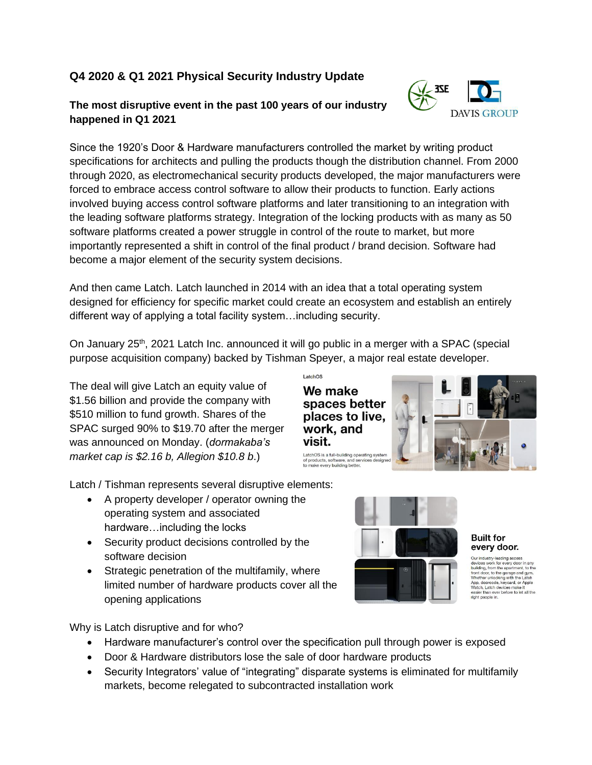# **Q4 2020 & Q1 2021 Physical Security Industry Update**

## **The most disruptive event in the past 100 years of our industry happened in Q1 2021**

Since the 1920's Door & Hardware manufacturers controlled the market by writing product specifications for architects and pulling the products though the distribution channel. From 2000 through 2020, as electromechanical security products developed, the major manufacturers were forced to embrace access control software to allow their products to function. Early actions involved buying access control software platforms and later transitioning to an integration with the leading software platforms strategy. Integration of the locking products with as many as 50 software platforms created a power struggle in control of the route to market, but more importantly represented a shift in control of the final product / brand decision. Software had become a major element of the security system decisions.

And then came Latch. Latch launched in 2014 with an idea that a total operating system designed for efficiency for specific market could create an ecosystem and establish an entirely different way of applying a total facility system…including security.

On January  $25<sup>th</sup>$ , 2021 Latch Inc. announced it will go public in a merger with a SPAC (special purpose acquisition company) backed by [Tishman](https://www.bloomberg.com/quote/1782441D:AU) Speyer, a major real estate developer.

 $1<sub>atcho</sub>$ 

visit.

We make

The deal will give Latch an equity value of \$1.56 billion and provide the company with \$510 million to fund growth. Shares of the SPAC surged 90% to \$19.70 after the merger was announced on Monday. (*dormakaba's market cap is \$2.16 b, Allegion \$10.8 b*.)

of products, software, and services de<br>to make every building better. Latch / Tishman represents several disruptive elements:

- A property developer / operator owning the operating system and associated hardware…including the locks
- Security product decisions controlled by the software decision
- Strategic penetration of the multifamily, where limited number of hardware products cover all the opening applications

Why is Latch disruptive and for who?

- Hardware manufacturer's control over the specification pull through power is exposed
- Door & Hardware distributors lose the sale of door hardware products
- Security Integrators' value of "integrating" disparate systems is eliminated for multifamily markets, become relegated to subcontracted installation work



#### **Built for** every door.

Our industry-leading access<br>
devices work for every door in any building, from the apartment, to the<br>
building, from the apartment, to the device from the front door, to the garage and gym.<br>
Whether unlocking with the Lat



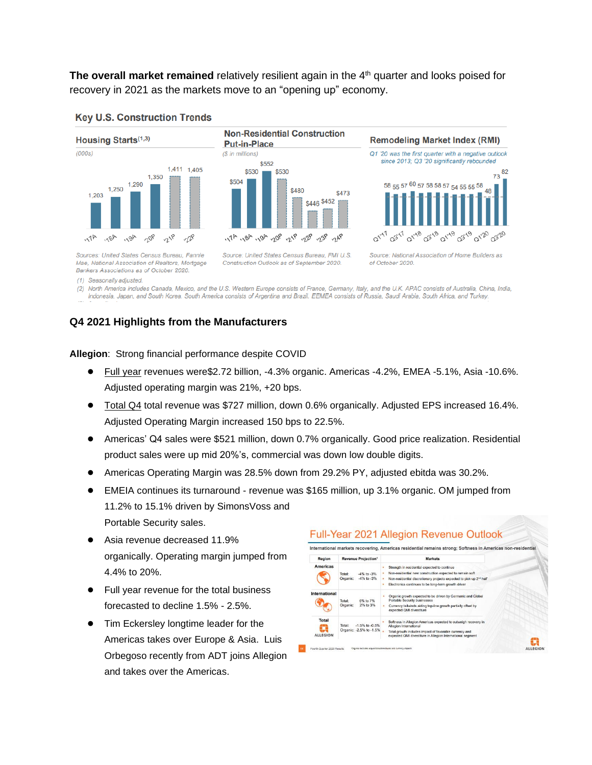**The overall market remained** relatively resilient again in the 4<sup>th</sup> quarter and looks poised for recovery in 2021 as the markets move to an "opening up" economy.

**Non-Residential Construction** 



### **Key U.S. Construction Trends**





**Remodeling Market Index (RMI)** 

Sources: United States Census Bureau, Fannie Mae, National Association of Realtors, Mortgage Bankers Associations as of October 2020.

Source: United States Census Bureau, FMI U.S. Construction Outlook as of September 2020.

Source: National Association of Home Builders as of October 2020.

(1) Seasonally adjusted.

(2) North America includes Canada, Mexico, and the U.S. Western Europe consists of France, Germany, Italy, and the U.K. APAC consists of Australia, China, India,

Indonesia, Japan, and South Korea. South America consists of Argentina and Brazil. EEMEA consists of Russia, Saudi Arabia, South Africa, and Turkey.

## **Q4 2021 Highlights from the Manufacturers**

**Allegion**: Strong financial performance despite COVID

- Full year revenues were\$2.72 billion, -4.3% organic. Americas -4.2%, EMEA -5.1%, Asia -10.6%. Adjusted operating margin was 21%, +20 bps.
- Total Q4 total revenue was \$727 million, down 0.6% organically. Adjusted EPS increased 16.4%. Adjusted Operating Margin increased 150 bps to 22.5%.
- Americas' Q4 sales were \$521 million, down 0.7% organically. Good price realization. Residential product sales were up mid 20%'s, commercial was down low double digits.
- Americas Operating Margin was 28.5% down from 29.2% PY, adjusted ebitda was 30.2%.
- EMEIA continues its turnaround revenue was \$165 million, up 3.1% organic. OM jumped from 11.2% to 15.1% driven by SimonsVoss and Portable Security sales.
- Asia revenue decreased 11.9% organically. Operating margin jumped from 4.4% to 20%.
- Full year revenue for the total business forecasted to decline 1.5% - 2.5%.
- Tim Eckersley longtime leader for the Americas takes over Europe & Asia. Luis Orbegoso recently from ADT joins Allegion and takes over the Americas.

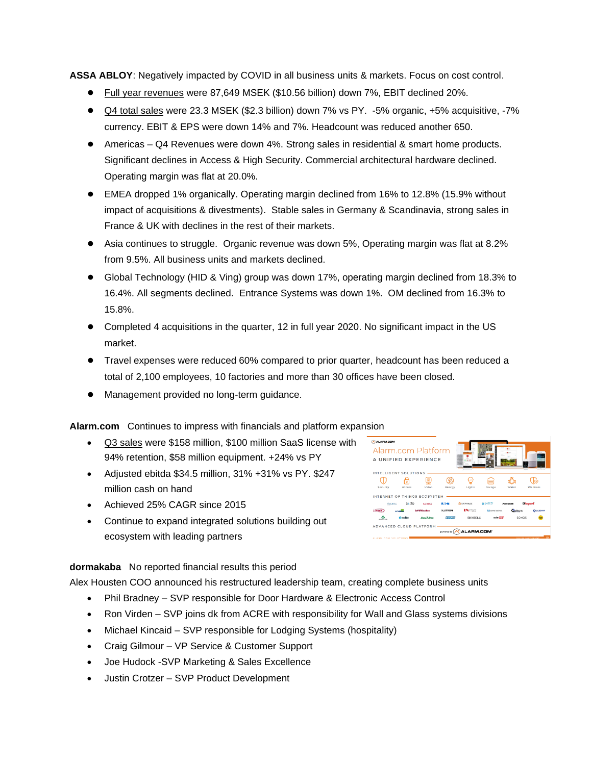**ASSA ABLOY**: Negatively impacted by COVID in all business units & markets. Focus on cost control.

- Full year revenues were 87,649 MSEK (\$10.56 billion) down 7%, EBIT declined 20%.
- Q4 total sales were 23.3 MSEK (\$2.3 billion) down 7% vs PY. -5% organic, +5% acquisitive, -7% currency. EBIT & EPS were down 14% and 7%. Headcount was reduced another 650.
- Americas Q4 Revenues were down 4%. Strong sales in residential & smart home products. Significant declines in Access & High Security. Commercial architectural hardware declined. Operating margin was flat at 20.0%.
- EMEA dropped 1% organically. Operating margin declined from 16% to 12.8% (15.9% without impact of acquisitions & divestments). Stable sales in Germany & Scandinavia, strong sales in France & UK with declines in the rest of their markets.
- Asia continues to struggle. Organic revenue was down 5%, Operating margin was flat at 8.2% from 9.5%. All business units and markets declined.
- Global Technology (HID & Ving) group was down 17%, operating margin declined from 18.3% to 16.4%. All segments declined. Entrance Systems was down 1%. OM declined from 16.3% to 15.8%.
- Completed 4 acquisitions in the quarter, 12 in full year 2020. No significant impact in the US market.
- Travel expenses were reduced 60% compared to prior quarter, headcount has been reduced a total of 2,100 employees, 10 factories and more than 30 offices have been closed.
- Management provided no long-term guidance.

**Alarm.com** Continues to impress with financials and platform expansion

- Q3 sales were \$158 million, \$100 million SaaS license with 94% retention, \$58 million equipment. +24% vs PY
- Adjusted ebitda \$34.5 million, 31% +31% vs PY. \$247 million cash on hand
- Achieved 25% CAGR since 2015
- Continue to expand integrated solutions building out ecosystem with leading partners



### **dormakaba** No reported financial results this period

Alex Housten COO announced his restructured leadership team, creating complete business units

- Phil Bradney SVP responsible for Door Hardware & Electronic Access Control
- Ron Virden SVP joins dk from ACRE with responsibility for Wall and Glass systems divisions
- Michael Kincaid SVP responsible for Lodging Systems (hospitality)
- Craig Gilmour VP Service & Customer Support
- Joe Hudock -SVP Marketing & Sales Excellence
- Justin Crotzer SVP Product Development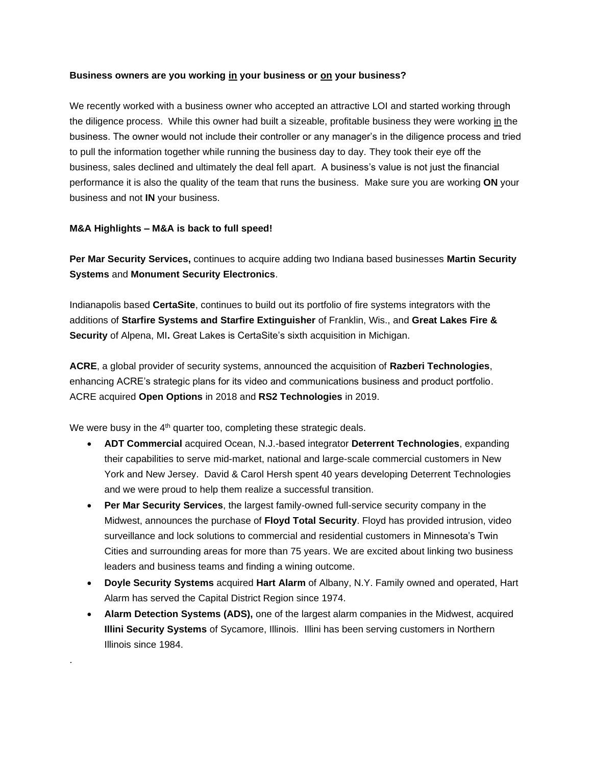### **Business owners are you working in your business or on your business?**

We recently worked with a business owner who accepted an attractive LOI and started working through the diligence process. While this owner had built a sizeable, profitable business they were working in the business. The owner would not include their controller or any manager's in the diligence process and tried to pull the information together while running the business day to day. They took their eye off the business, sales declined and ultimately the deal fell apart. A business's value is not just the financial performance it is also the quality of the team that runs the business. Make sure you are working **ON** your business and not **IN** your business.

### **M&A Highlights – M&A is back to full speed!**

.

**[Per Mar Security Services,](https://www.securitysales.com/company-tag/permarsecurityservices/)** continues to acquire adding two Indiana based businesses **Martin Security Systems** and **Monument Security Electronics**.

Indianapolis based **CertaSite**, continues to build out its portfolio of fire systems integrators with the additions of **Starfire Systems and Starfire Extinguisher** of Franklin, Wis., and **Great Lakes Fire & Security** of Alpena, MI**.** Great Lakes is CertaSite's sixth acquisition in Michigan.

**[ACRE](https://www.securitysales.com/company-tag/acre/)**, a global provider of security systems, announced the acquisition of **[Razberi Technologies](https://www.securitysales.com/company-tag/razberitechnologies/)**, enhancing ACRE's strategic plans for its video and communications business and product portfolio. ACRE acquired **[Open Options](https://www.securitysales.com/business/mergers/acre-open-options-buy/)** in 2018 and **[RS2 Technologies](https://www.securitysales.com/business/mergers/acre-acquires-rs2-technologies/)** in 2019.

We were busy in the  $4<sup>th</sup>$  quarter too, completing these strategic deals.

- **ADT Commercial** acquired Ocean, N.J.-based integrator **Deterrent Technologies**, expanding their capabilities to serve mid-market, national and large-scale commercial customers in New York and New Jersey. David & Carol Hersh spent 40 years developing Deterrent Technologies and we were proud to help them realize a successful transition.
- **Per Mar Security Services**, the largest family-owned full-service security company in the Midwest, announces the purchase of **Floyd Total Security**. Floyd has provided intrusion, video surveillance and lock solutions to commercial and residential customers in Minnesota's Twin Cities and surrounding areas for more than 75 years. We are excited about linking two business leaders and business teams and finding a wining outcome.
- **Doyle Security Systems** acquired **Hart Alarm** of Albany, N.Y. Family owned and operated, Hart Alarm has served the Capital District Region since 1974.
- **Alarm Detection Systems (ADS),** one of the largest alarm companies in the Midwest, acquired **Illini Security Systems** of Sycamore, Illinois. Illini has been serving customers in Northern Illinois since 1984.